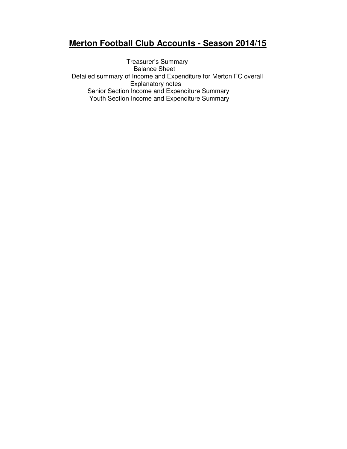## **Merton Football Club Accounts - Season 2014/15**

Treasurer's Summary Balance Sheet Detailed summary of Income and Expenditure for Merton FC overall Explanatory notes Senior Section Income and Expenditure Summary Youth Section Income and Expenditure Summary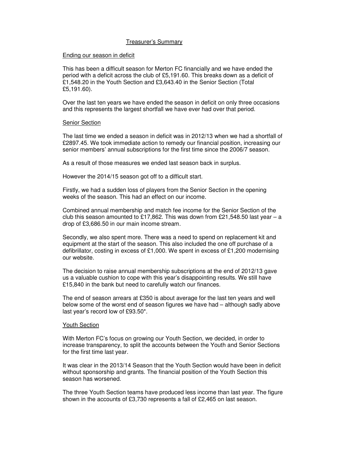## Treasurer's Summary

## Ending our season in deficit

This has been a difficult season for Merton FC financially and we have ended the period with a deficit across the club of £5,191.60. This breaks down as a deficit of £1,548.20 in the Youth Section and £3,643.40 in the Senior Section (Total £5,191.60).

Over the last ten years we have ended the season in deficit on only three occasions and this represents the largest shortfall we have ever had over that period.

## Senior Section

The last time we ended a season in deficit was in 2012/13 when we had a shortfall of £2897.45. We took immediate action to remedy our financial position, increasing our senior members' annual subscriptions for the first time since the 2006/7 season.

As a result of those measures we ended last season back in surplus.

However the 2014/15 season got off to a difficult start.

Firstly, we had a sudden loss of players from the Senior Section in the opening weeks of the season. This had an effect on our income.

Combined annual membership and match fee income for the Senior Section of the club this season amounted to £17,862. This was down from £21,548.50 last year – a drop of £3,686.50 in our main income stream.

Secondly, we also spent more. There was a need to spend on replacement kit and equipment at the start of the season. This also included the one off purchase of a defibrillator, costing in excess of £1,000. We spent in excess of £1,200 modernising our website.

The decision to raise annual membership subscriptions at the end of 2012/13 gave us a valuable cushion to cope with this year's disappointing results. We still have £15,840 in the bank but need to carefully watch our finances.

The end of season arrears at £350 is about average for the last ten years and well below some of the worst end of season figures we have had – although sadly above last year's record low of £93.50\*.

## Youth Section

With Merton FC's focus on growing our Youth Section, we decided, in order to increase transparency, to split the accounts between the Youth and Senior Sections for the first time last year.

It was clear in the 2013/14 Season that the Youth Section would have been in deficit without sponsorship and grants. The financial position of the Youth Section this season has worsened.

The three Youth Section teams have produced less income than last year. The figure shown in the accounts of £3,730 represents a fall of £2,465 on last season.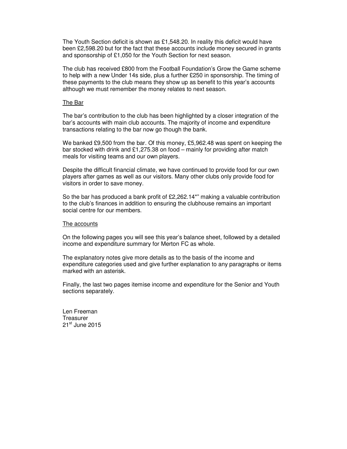The Youth Section deficit is shown as £1,548.20. In reality this deficit would have been £2,598.20 but for the fact that these accounts include money secured in grants and sponsorship of £1,050 for the Youth Section for next season.

The club has received £800 from the Football Foundation's Grow the Game scheme to help with a new Under 14s side, plus a further £250 in sponsorship. The timing of these payments to the club means they show up as benefit to this year's accounts although we must remember the money relates to next season.

## The Bar

The bar's contribution to the club has been highlighted by a closer integration of the bar's accounts with main club accounts. The majority of income and expenditure transactions relating to the bar now go though the bank.

We banked £9,500 from the bar. Of this money, £5,962.48 was spent on keeping the bar stocked with drink and £1,275.38 on food – mainly for providing after match meals for visiting teams and our own players.

Despite the difficult financial climate, we have continued to provide food for our own players after games as well as our visitors. Many other clubs only provide food for visitors in order to save money.

So the bar has produced a bank profit of £2,262.14\*" making a valuable contribution to the club's finances in addition to ensuring the clubhouse remains an important social centre for our members.

## The accounts

On the following pages you will see this year's balance sheet, followed by a detailed income and expenditure summary for Merton FC as whole.

The explanatory notes give more details as to the basis of the income and expenditure categories used and give further explanation to any paragraphs or items marked with an asterisk.

Finally, the last two pages itemise income and expenditure for the Senior and Youth sections separately.

Len Freeman **Treasurer**  $21<sup>st</sup>$  June 2015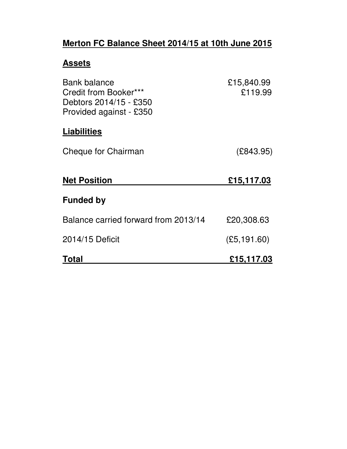# **Merton FC Balance Sheet 2014/15 at 10th June 2015**

## **Assets**

| <b>Bank balance</b><br>Credit from Booker***<br>Debtors 2014/15 - £350<br>Provided against - £350 | £15,840.99<br>£119.99 |
|---------------------------------------------------------------------------------------------------|-----------------------|
| <b>Liabilities</b>                                                                                |                       |
| Cheque for Chairman                                                                               | (E843.95)             |
| <b>Net Position</b>                                                                               | £15,117.03            |
| <b>Funded by</b>                                                                                  |                       |
| Balance carried forward from 2013/14                                                              | £20,308.63            |
| 2014/15 Deficit                                                                                   | (E5, 191.60)          |
| Total                                                                                             | £15,117.03            |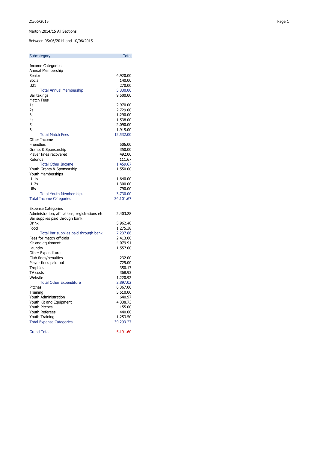### Merton 2014/15 All Sections

Between 05/06/2014 and 10/06/2015

| Subcategory                                     | <b>Total</b> |
|-------------------------------------------------|--------------|
| <b>Income Categories</b>                        |              |
| Annual Membership                               |              |
| Senior                                          | 4,920.00     |
| Social                                          | 140.00       |
| U21                                             | 270.00       |
|                                                 |              |
| <b>Total Annual Membership</b>                  | 5,330.00     |
| Bar takings                                     | 9,500.00     |
| <b>Match Fees</b>                               |              |
| 1s                                              | 2,970.00     |
| 2s                                              | 2,729.00     |
| 3s                                              | 1,290.00     |
| 4s                                              | 1,538.00     |
| 5s                                              | 2,090.00     |
| 6s                                              | 1,915.00     |
| <b>Total Match Fees</b>                         | 12,532.00    |
| Other Income                                    |              |
| <b>Friendlies</b>                               | 506.00       |
| Grants & Sponsorship                            | 350.00       |
| Player fines recovered                          | 492.00       |
| Refunds                                         | 111.67       |
| <b>Total Other Income</b>                       | 1,459.67     |
| Youth Grants & Sponsorship                      | 1,550.00     |
| Youth Memberships                               |              |
| U11s                                            |              |
| U12s                                            | 1,640.00     |
|                                                 | 1,300.00     |
| U8s                                             | 790.00       |
| <b>Total Youth Memberships</b>                  | 3,730.00     |
| <b>Total Income Categories</b>                  | 34,101.67    |
| <b>Expense Categories</b>                       |              |
| Administration, affiliations, registrations etc | 2,403.28     |
| Bar supplies paid through bank                  |              |
| Drink                                           | 5,962.48     |
| Food                                            | 1,275.38     |
| Total Bar supplies paid through bank            | 7,237.86     |
| Fees for match officials                        | 2,413.00     |
| Kit and equipment                               | 4,079.91     |
| Laundry                                         | 1,557.00     |
| Other Expenditure                               |              |
| Club fines/penalties                            | 232.00       |
| Player fines paid out                           | 725.00       |
|                                                 | 350.17       |
| Trophies                                        |              |
| TV costs                                        | 368.93       |
| Website                                         | 1,220.92     |
| <b>Total Other Expenditure</b>                  | 2,897.02     |
| Pitches                                         | 6,367.00     |
| Training                                        | 5,510.00     |
| Youth Administration                            | 640.97       |
| Youth Kit and Equipment                         | 4,338.73     |
| Youth Pitches                                   | 155.00       |
| Youth Referees                                  | 440.00       |
| Youth Training                                  | 1,253.50     |
| <b>Total Expense Categories</b>                 | 39,293.27    |
| <b>Grand Total</b>                              | $-5,191.60$  |
|                                                 |              |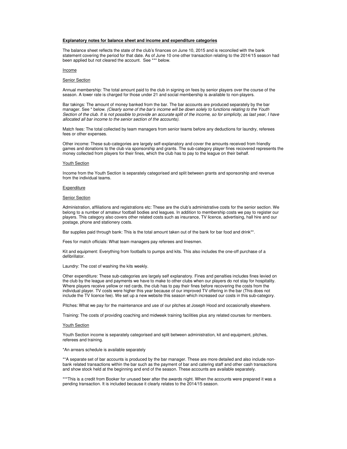#### **Explanatory notes for balance sheet and income and expenditure categories**

The balance sheet reflects the state of the club's finances on June 10, 2015 and is reconciled with the bank statement covering the period for that date. As of June 10 one other transaction relating to the 2014/15 season had been applied but not cleared the account. See \*\*\* below.

#### Income

#### Senior Section

Annual membership: The total amount paid to the club in signing on fees by senior players over the course of the season. A lower rate is charged for those under 21 and social membership is available to non-players.

Bar takings: The amount of money banked from the bar. The bar accounts are produced separately by the bar manager. See \* below. (Clearly some of the bar's income will be down solely to functions relating to the Youth Section of the club. It is not possible to provide an accurate split of the income, so for simplicity, as last year, I have allocated all bar income to the senior section of the accounts).

Match fees: The total collected by team managers from senior teams before any deductions for laundry, referees fees or other expenses.

Other income: These sub-categories are largely self-explanatory and cover the amounts received from friendly games and donations to the club via sponsorship and grants. The sub-category player fines recovered represents the money collected from players for their fines, which the club has to pay to the league on their behalf.

#### Youth Section

Income from the Youth Section is separately categorised and split between grants and sponsorship and revenue from the individual teams.

#### **Expenditure**

#### Senior Section

Administration, affiliations and registrations etc: These are the club's administrative costs for the senior section. We belong to a number of amateur football bodies and leagues. In addition to membership costs we pay to register our players. This category also covers other related costs such as insurance, TV licence, advertising, hall hire and our postage, phone and stationery costs.

Bar supplies paid through bank: This is the total amount taken out of the bank for bar food and drink\*\*.

Fees for match officials: What team managers pay referees and linesmen.

Kit and equipment: Everything from footballs to pumps and kits. This also includes the one-off purchase of a defibrillator.

Laundry: The cost of washing the kits weekly.

Other expenditure: These sub-categories are largely self explanatory. Fines and penalties includes fines levied on the club by the league and payments we have to make to other clubs when our players do not stay for hospitality. Where players receive yellow or red cards, the club has to pay their fines before recovering the costs from the individual player. TV costs were higher this year because of our improved TV offering in the bar (This does not include the TV licence fee). We set up a new website this season which increased our costs in this sub-category.

Pitches: What we pay for the maintenance and use of our pitches at Joseph Hood and occasionally elsewhere.

Training: The costs of providing coaching and midweek training facilities plus any related courses for members.

#### Youth Section

Youth Section income is separately categorised and split between administration, kit and equipment, pitches, referees and training.

#### \*An arrears schedule is available separately

\*\*A separate set of bar accounts is produced by the bar manager. These are more detailed and also include nonbank related transactions within the bar such as the payment of bar and catering staff and other cash transactions and show stock held at the beginning and end of the season. These accounts are available separately.

\*\*\*This is a credit from Booker for unused beer after the awards night. When the accounts were prepared it was a pending transaction. It is included because it clearly relates to the 2014/15 season.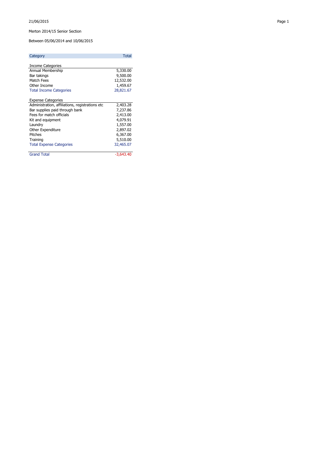#### 21/06/2015 Page 1

### Merton 2014/15 Senior Section

Between 05/06/2014 and 10/06/2015

| Category                                        | <b>Total</b> |
|-------------------------------------------------|--------------|
| <b>Income Categories</b>                        |              |
| Annual Membership                               | 5,330.00     |
| Bar takings                                     | 9,500.00     |
| Match Fees                                      | 12,532.00    |
| Other Income                                    | 1,459.67     |
| <b>Total Income Categories</b>                  | 28,821.67    |
| <b>Expense Categories</b>                       |              |
| Administration, affiliations, registrations etc | 2,403.28     |
| Bar supplies paid through bank                  | 7,237.86     |
| Fees for match officials                        | 2,413.00     |
| Kit and equipment                               | 4,079.91     |
| Laundry                                         | 1,557.00     |
| Other Expenditure                               | 2,897.02     |
| Pitches                                         | 6,367.00     |
| Training                                        | 5,510.00     |
| <b>Total Expense Categories</b>                 | 32,465.07    |
| <b>Grand Total</b>                              | $-3.643.40$  |